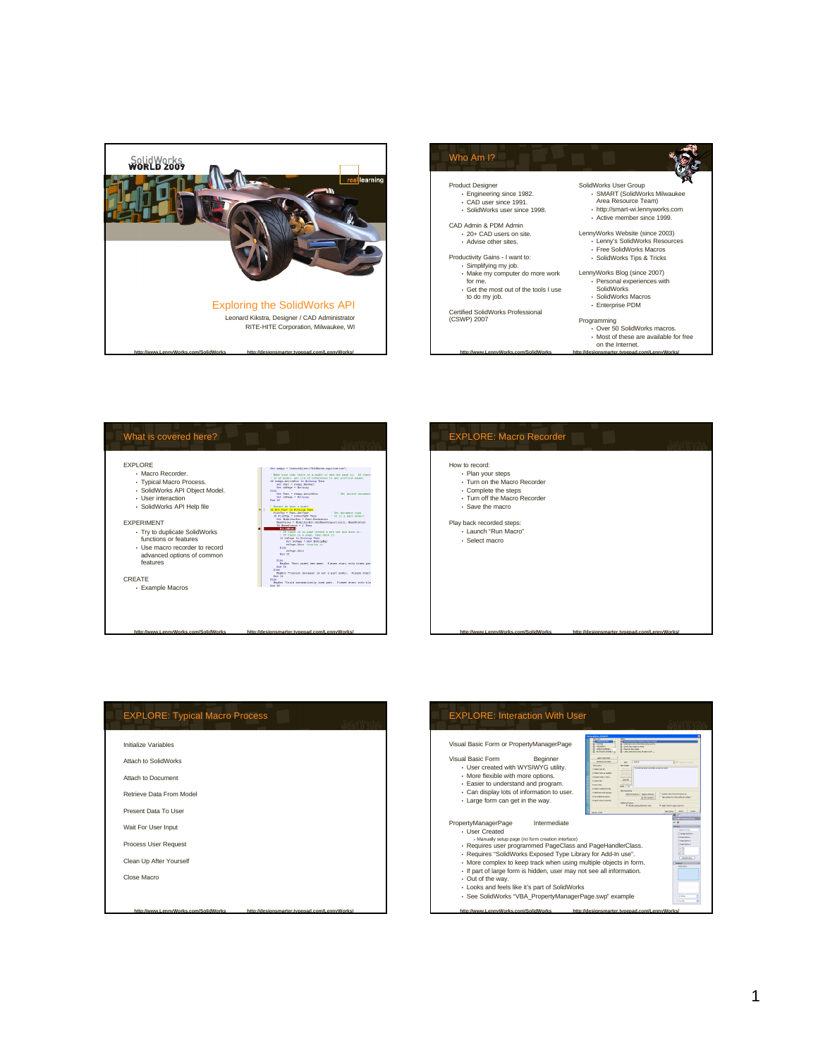







| <b>EXPLORE: Typical Macro Process</b> |  |
|---------------------------------------|--|
| Initialize Variables                  |  |
| Attach to SolidWorks                  |  |
| Attach to Document                    |  |
| Retrieve Data From Model              |  |
| Present Data To User                  |  |
| Wait For User Input                   |  |
| Process User Request                  |  |
| Clean Up After Yourself               |  |
| Close Macro                           |  |
|                                       |  |

**http://www.LennyWorks.com/SolidWorks http://designsmarter.typepad.com/LennyWorks/**

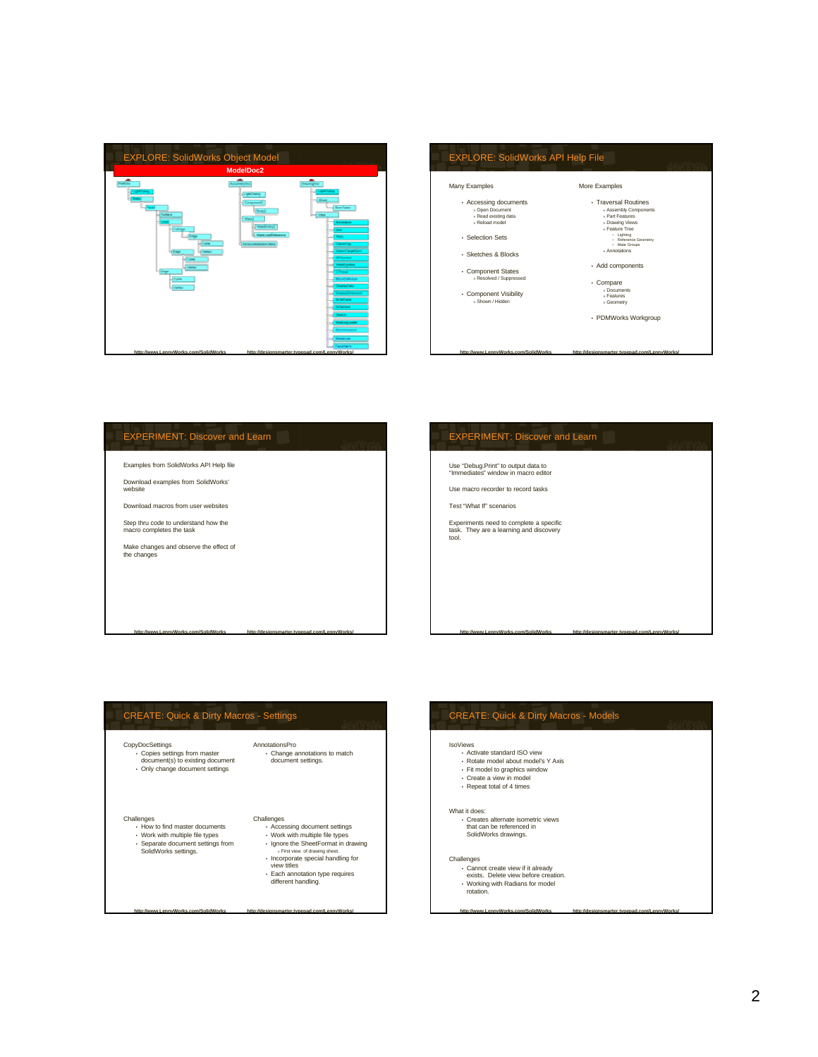



# EXPERIMENT: Discover and Learn

Examples from SolidWorks API Help file

Download examples from SolidWorks' website

Download macros from user websites

Step thru code to understand how the macro completes the task

Make changes and observe the effect of the changes

## EXPERIMENT: Discover and Learn

Use "Debug.Print" to output data to "Immediates" window in macro editor

Use macro recorder to record tasks

Test "What If" scenarios

Experiments need to complete a specific task. They are a learning and discovery tool.

## CREATE: Quick & Dirty Macros - Settings CopyDocSettings • Copies settings from master document(s) to existing document • Only change document settings Challenges • How to find master documents • Work with multiple file types • Separate document settings from SolidWorks settings. AnnotationsPro • Change annotations to match document settings. Challenges • Accessing document settings • Work with multiple file types • Ignore the SheetFormat in drawing » First view of drawing sheet. • Incorporate special handling for view titles • Each annotation type requires different handling.

**http://www.LennyWorks.com/SolidWorks http://designsmarter.typepad.com/LennyWorks/**

**http://www.LennyWorks.com/SolidWorks http://designsmarter.typepad.com/LennyWorks/**

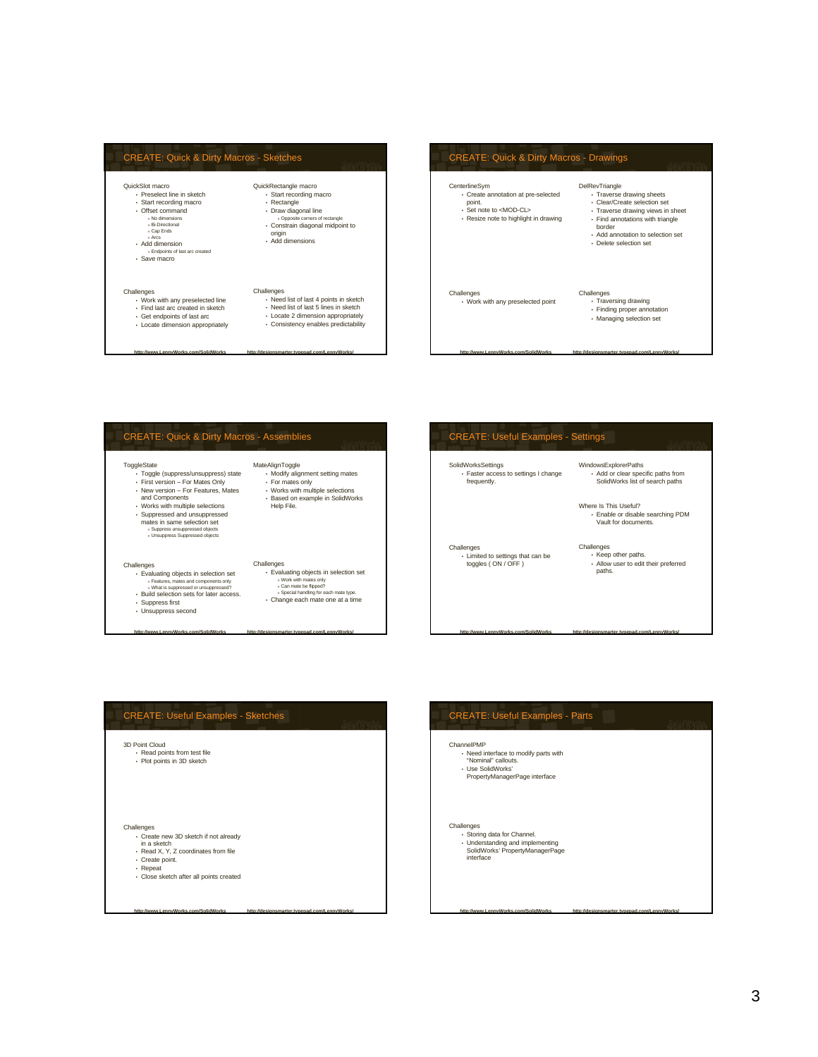# CREATE: Quick & Dirty Macros - Sketches

### QuickSlot macro • Preselect line in sketch

### • Start recording macro

- $\cdot$  Offset comma » No dimensions » Bi-Directional » Cap Ends
- 
- 
- » Arcs Add dimension » Endpoints of last arc created
- Save macro

- Challenges Work with any preselected line Find last arc created in sketch
- Get endpoints of last arc Locate dimension appropriately
- 
- QuickRectangle macro Start recording macro • Rectangle • Draw diagonal line » Opposite corners of rectangle • Constrain diagonal midpoint to origin • Add dimensions

**http://www.LennyWorks.com/SolidWorks http://designsmarter.typepad.com/LennyWorks/**

- Challenges Need list of last 4 points in sketch • Need list of last 5 lines in sketch
	- Locate 2 dimension appropriately Consistency enables predictability
	-

## **http://www.LennyWorks.com/SolidWorks http://designsmarter.typepad.com/LennyWorks/** CREATE: Quick & Dirty Macros - Drawings CenterlineSym • Create annotation at pre-selected point. • Set note to <MOD-CL> • Resize note to highlight in drawing Challenges • Work with any preselected point DelRevTriangle • Traverse drawing sheets • Clear/Create selection set • Traverse drawing views in sheet • Find annotations with triangle border • Add annotation to selection set • Delete selection set Challenges • Traversing drawing • Finding proper annotation • Managing selection set



# CREATE: Useful Examples - Settings

SolidWorksSettings • Faster access to settings I change frequently. WindowsExplorerPaths • Add or clear specific paths from SolidWorks list of search paths

Where Is This Useful? • Enable or disable searching PDM Vault for documents.

## **Challenges** • Limited to settings that can be toggles ( ON / OFF )

# Challenges • Keep other paths. • Allow user to edit their preferred paths.

**http://www.LennyWorks.com/SolidWorks http://designsmarter.typepad.com/LennyWorks/**



**http://www.LennyWorks.com/SolidWorks http://designsmarter.typepad.com/LennyWorks/**

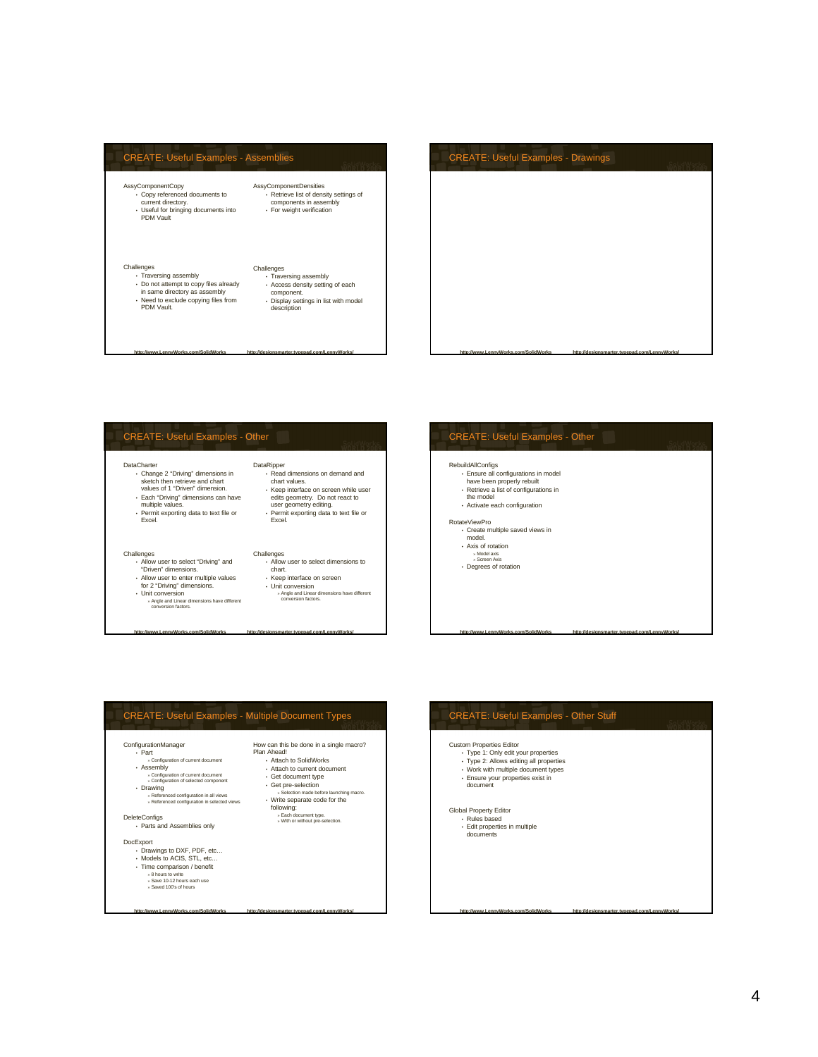## CREATE: Useful Examples - Assemblies AssyComponentCopy • Copy referenced documents to current directory. • Useful for bringing documents into PDM Vault Challenges<br>
• Traversing assembly • Traversing assembly • Do not attempt to copy files already in same directory as assembly • Need to exclude copying files from PDM Vault. AssyComponentDensities • Retrieve list of density settings of components in assembly • For weight verification Challenges • Traversing assembly • Access density setting of each component. • Display settings in list with model description

**http://www.LennyWorks.com/SolidWorks http://designsmarter.typepad.com/LennyWorks/**



# CREATE: Useful Examples - Other DataCharter • Change 2 "Driving" dimensions in sketch then retrieve and chart values of 1 "Driven" dimension. • Each "Driving" dimensions can have multiple values. • Permit exporting data to text file or Excel. DataRipper • Read dimensions on demand and<br>chart values. chart values. • Keep interface on screen while user edits geometry. Do not react to user geometry editing. • Permit exporting data to text file or Excel. Challenges • Allow user to select dimensions to chart.

**http://www.LennyWorks.com/SolidWorks http://designsmarter.typepad.com/LennyWorks/**

Challenges • Allow user to select "Driving" and "Driven" dimensions.

• Unit conversion » Angle and Linear dimensions have different conversion factors.

- Allow user to enter multiple values for 2 "Driving" dimensions. • Keep interface on screen • Unit conversion
	- » Angle and Linear dimensions have different conversion factors.

# CREATE: Useful Examples - Other

## RebuildAllConfigs

- 
- 
- Ensure all configurations in model have been properly rebuilt Retrieve a list of configurations in the model
- Activate each configuration

## RotateViewPro

- Create multiple saved views in model.
- Axis of rotation
- » Model axis » Screen Axis Degrees of rotation



**http://www.LennyWorks.com/SolidWorks http://designsmarter.typepad.com/LennyWorks/**



**http://www.LennyWorks.com/SolidWorks http://designsmarter.typepad.com/LennyWorks/**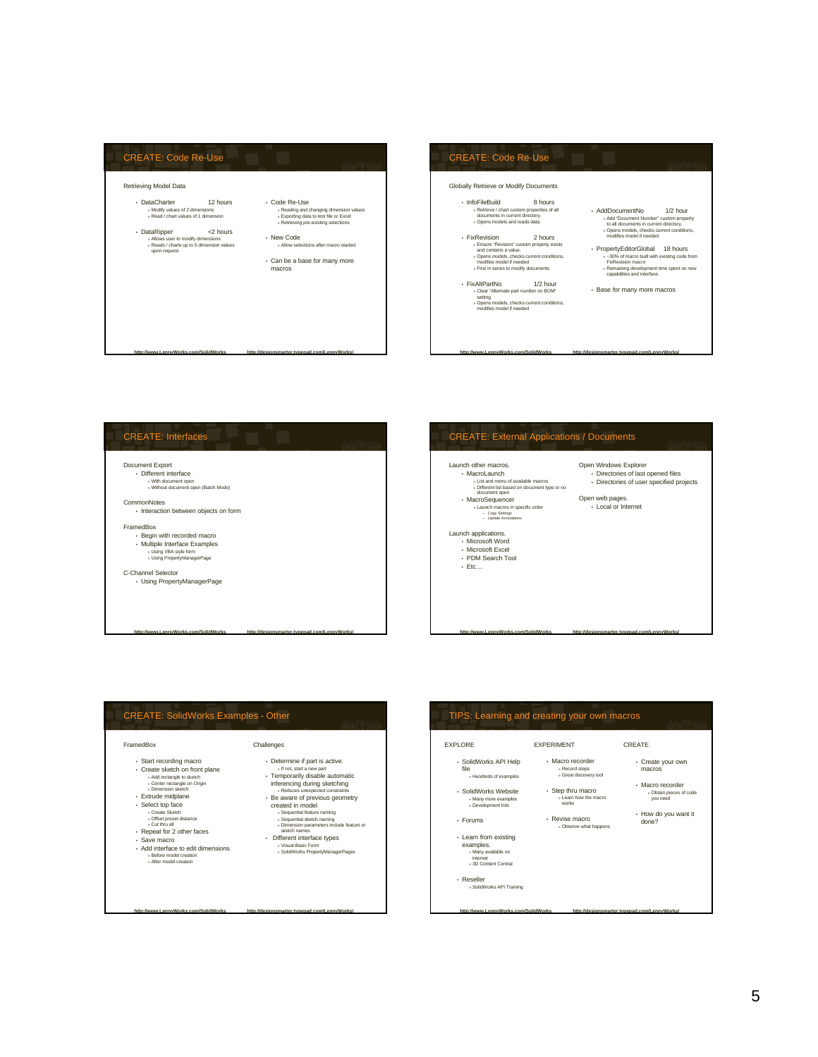